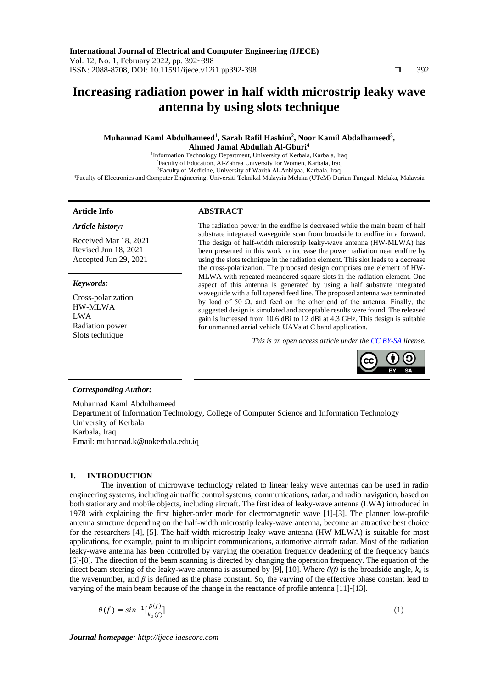# **Increasing radiation power in half width microstrip leaky wave antenna by using slots technique**

# **Muhannad Kaml Abdulhameed<sup>1</sup> , Sarah Rafil Hashim<sup>2</sup> , Noor Kamil Abdalhameed<sup>3</sup> , Ahmed Jamal Abdullah Al-Gburi<sup>4</sup>**

<sup>1</sup>Information Technology Department, University of Kerbala, Karbala, Iraq Faculty of Education, Al-Zahraa University for Women, Karbala, Iraq Faculty of Medicine, University of Warith Al-Anbiyaa, Karbala, Iraq Faculty of Electronics and Computer Engineering, Universiti Teknikal Malaysia Melaka (UTeM) Durian Tunggal, Melaka, Malaysia

### *Article history:*

Received Mar 18, 2021 Revised Jun 18, 2021 Accepted Jun 29, 2021

#### *Keywords:*

Cross-polarization HW-MLWA LWA Radiation power Slots technique

# **Article Info ABSTRACT**

The radiation power in the endfire is decreased while the main beam of half substrate integrated waveguide scan from broadside to endfire in a forward. The design of half-width microstrip leaky-wave antenna (HW-MLWA) has been presented in this work to increase the power radiation near endfire by using the slots technique in the radiation element. This slot leads to a decrease the cross-polarization. The proposed design comprises one element of HW-MLWA with repeated meandered square slots in the radiation element. One aspect of this antenna is generated by using a half substrate integrated waveguide with a full tapered feed line. The proposed antenna was terminated by load of 50 Ω, and feed on the other end of the antenna. Finally, the suggested design is simulated and acceptable results were found. The released gain is increased from 10.6 dBi to 12 dBi at 4.3 GHz. This design is suitable for unmanned aerial vehicle UAVs at C band application.

*This is an open access article under th[e CC BY-SA](https://creativecommons.org/licenses/by-sa/4.0/) license.*



#### *Corresponding Author:*

Muhannad Kaml Abdulhameed Department of Information Technology, College of Computer Science and Information Technology University of Kerbala Karbala, Iraq Email: muhannad.k@uokerbala.edu.iq

#### **1. INTRODUCTION**

The invention of microwave technology related to linear leaky wave antennas can be used in radio engineering systems, including air traffic control systems, communications, radar, and radio navigation, based on both stationary and mobile objects, including aircraft. The first idea of leaky-wave antenna (LWA) introduced in 1978 with explaining the first higher-order mode for electromagnetic wave [1]-[3]. The planner low-profile antenna structure depending on the half-width microstrip leaky-wave antenna, become an attractive best choice for the researchers [4], [5]. The half-width microstrip leaky-wave antenna (HW-MLWA) is suitable for most applications, for example, point to multipoint communications, automotive aircraft radar. Most of the radiation leaky-wave antenna has been controlled by varying the operation frequency deadening of the frequency bands [6]-[8]. The direction of the beam scanning is directed by changing the operation frequency. The equation of the direct beam steering of the leaky-wave antenna is assumed by [9], [10]. Where *θ(f)* is the broadside angle, *k<sup>o</sup>* is the wavenumber, and *β* is defined as the phase constant. So, the varying of the effective phase constant lead to varying of the main beam because of the change in the reactance of profile antenna [11]-[13].

$$
\theta(f) = \sin^{-1} \left[ \frac{\beta(f)}{k_o(f)} \right]
$$

 $\left.\begin{array}{ccc}\n\end{array}\right]$  (1)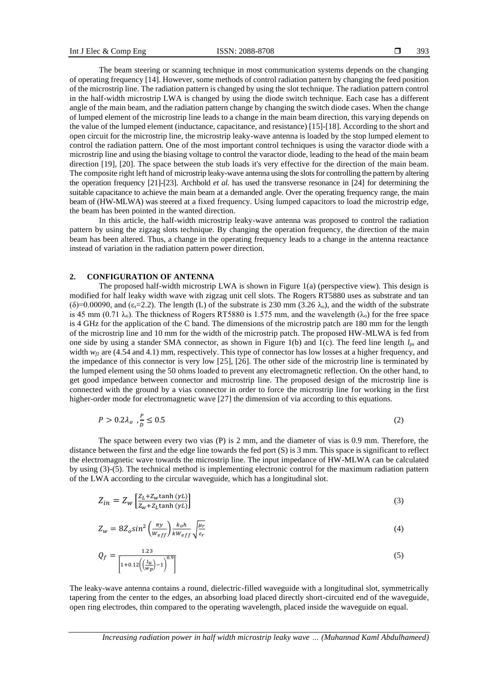The beam steering or scanning technique in most communication systems depends on the changing of operating frequency [14]. However, some methods of control radiation pattern by changing the feed position of the microstrip line. The radiation pattern is changed by using the slot technique. The radiation pattern control in the half-width microstrip LWA is changed by using the diode switch technique. Each case has a different angle of the main beam, and the radiation pattern change by changing the switch diode cases. When the change of lumped element of the microstrip line leads to a change in the main beam direction, this varying depends on the value of the lumped element (inductance, capacitance, and resistance) [15]-[18]. According to the short and open circuit for the microstrip line, the microstrip leaky-wave antenna is loaded by the stop lumped element to control the radiation pattern. One of the most important control techniques is using the varactor diode with a microstrip line and using the biasing voltage to control the varactor diode, leading to the head of the main beam direction [19], [20]. The space between the stub loads it's very effective for the direction of the main beam. The composite right left hand of microstrip leaky-wave antenna using the slots for controlling the pattern by altering the operation frequency [21]-[23]. Archbold *et al.* has used the transverse resonance in [24] for determining the suitable capacitance to achieve the main beam at a demanded angle. Over the operating frequency range, the main beam of (HW-MLWA) was steered at a fixed frequency. Using lumped capacitors to load the microstrip edge, the beam has been pointed in the wanted direction.

In this article, the half-width microstrip leaky-wave antenna was proposed to control the radiation pattern by using the zigzag slots technique. By changing the operation frequency, the direction of the main beam has been altered. Thus, a change in the operating frequency leads to a change in the antenna reactance instead of variation in the radiation pattern power direction.

#### **2. CONFIGURATION OF ANTENNA**

The proposed half-width microstrip LWA is shown in Figure 1(a) (perspective view). This design is modified for half leaky width wave with zigzag unit cell slots. The Rogers RT5880 uses as substrate and tan  $(\delta)=0.00090$ , and  $(\epsilon=-2.2)$ . The length (L) of the substrate is 230 mm (3.26  $\lambda_0$ ), and the width of the substrate is 45 mm (0.71  $\lambda_0$ ). The thickness of Rogers RT5880 is 1.575 mm, and the wavelength ( $\lambda_0$ ) for the free space is 4 GHz for the application of the C band. The dimensions of the microstrip patch are 180 mm for the length of the microstrip line and 10 mm for the width of the microstrip patch. The proposed HW-MLWA is fed from one side by using a stander SMA connector, as shown in Figure 1(b) and 1(c). The feed line length  $l_{ps}$  and width  $w_f1$  are (4.54 and 4.1) mm, respectively. This type of connector has low losses at a higher frequency, and the impedance of this connector is very low [25], [26]. The other side of the microstrip line is terminated by the lumped element using the 50 ohms loaded to prevent any electromagnetic reflection. On the other hand, to get good impedance between connector and microstrip line. The proposed design of the microstrip line is connected with the ground by a vias connector in order to force the microstrip line for working in the first higher-order mode for electromagnetic wave [27] the dimension of via according to this equations.

$$
P > 0.2\lambda_o, \frac{P}{D} \le 0.5\tag{2}
$$

The space between every two vias (P) is 2 mm, and the diameter of vias is 0.9 mm. Therefore, the distance between the first and the edge line towards the fed port (S) is 3 mm. This space is significant to reflect the electromagnetic wave towards the microstrip line. The input impedance of HW-MLWA can be calculated by using (3)-(5). The technical method is implementing electronic control for the maximum radiation pattern of the LWA according to the circular waveguide, which has a longitudinal slot.

$$
Z_{in} = Z_w \left[ \frac{Z_L + Z_w \tanh(\gamma L)}{Z_w + Z_L \tanh(\gamma L)} \right]
$$
\n(3)

$$
Z_{w} = 8Z_{o}sin^{2}\left(\frac{\pi y}{w_{eff}}\right)\frac{k_{o}h}{kw_{eff}}\sqrt{\frac{\mu_{r}}{\varepsilon_{r}}}
$$
\n(4)

$$
Q_f = \frac{1.23}{\left[1 + 0.12 \left(\frac{l_u}{wp}\right) - 1\right)^{0.9}\right]}
$$
(5)

The leaky-wave antenna contains a round, dielectric-filled waveguide with a longitudinal slot, symmetrically tapering from the center to the edges, an absorbing load placed directly short-circuited end of the waveguide, open ring electrodes, thin compared to the operating wavelength, placed inside the waveguide on equal.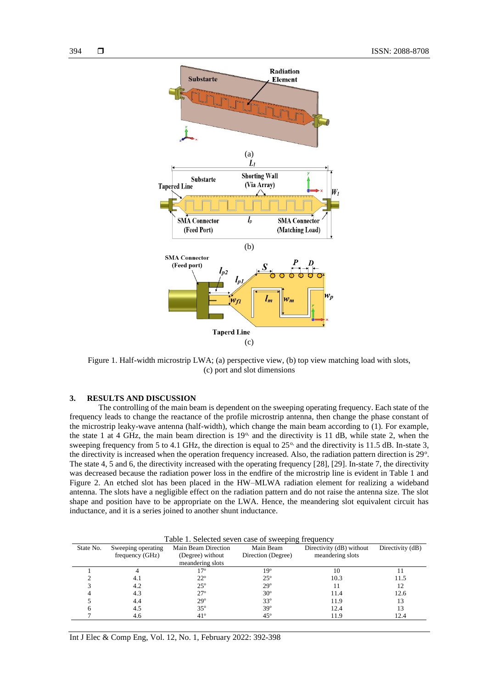

Figure 1. Half-width microstrip LWA; (a) perspective view, (b) top view matching load with slots, (c) port and slot dimensions

# **3. RESULTS AND DISCUSSION**

The controlling of the main beam is dependent on the sweeping operating frequency. Each state of the frequency leads to change the reactance of the profile microstrip antenna, then change the phase constant of the microstrip leaky-wave antenna (half-width), which change the main beam according to (1). For example, the state 1 at 4 GHz, the main beam direction is  $19<sup>o</sup>$ , and the directivity is 11 dB, while state 2, when the sweeping frequency from 5 to 4.1 GHz, the direction is equal to  $25^\circ$ , and the directivity is 11.5 dB. In-state 3, the directivity is increased when the operation frequency increased. Also, the radiation pattern direction is 29<sup>o</sup>. The state 4, 5 and 6, the directivity increased with the operating frequency [28], [29]. In-state 7, the directivity was decreased because the radiation power loss in the endfire of the microstrip line is evident in Table 1 and Figure 2. An etched slot has been placed in the HW–MLWA radiation element for realizing a wideband antenna. The slots have a negligible effect on the radiation pattern and do not raise the antenna size. The slot shape and position have to be appropriate on the LWA. Hence, the meandering slot equivalent circuit has inductance, and it is a series joined to another shunt inductance.

| Table 1. Selected seven case of sweeping frequency |                                       |                                                             |                                 |                                              |                  |
|----------------------------------------------------|---------------------------------------|-------------------------------------------------------------|---------------------------------|----------------------------------------------|------------------|
| State No.                                          | Sweeping operating<br>frequency (GHz) | Main Beam Direction<br>(Degree) without<br>meandering slots | Main Beam<br>Direction (Degree) | Directivity (dB) without<br>meandering slots | Directivity (dB) |
|                                                    |                                       | 70                                                          | 19°                             | 10                                           |                  |
|                                                    | 4. I                                  | $22^{\circ}$                                                | $25^\circ$                      | 10.3                                         | 11.5             |
|                                                    | 4.2                                   | $25^\circ$                                                  | $29^\circ$                      |                                              | 12               |
|                                                    | 4.3                                   | $27^\circ$                                                  | $30^\circ$                      | 11.4                                         | 12.6             |
|                                                    | 4.4                                   | $29^\circ$                                                  | $33^\circ$                      | 11.9                                         | 13               |
|                                                    | 4.5                                   | $35^\circ$                                                  | $39^\circ$                      | 12.4                                         | 13               |
|                                                    | 4.6                                   | $41^\circ$                                                  | $45^{\circ}$                    | 11.9                                         | 12.4             |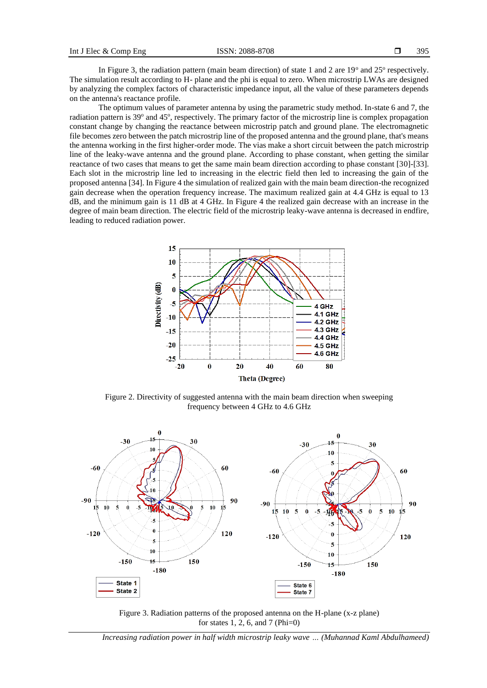In Figure 3, the radiation pattern (main beam direction) of state 1 and 2 are  $19^{\circ}$  and  $25^{\circ}$  respectively. The simulation result according to H- plane and the phi is equal to zero. When microstrip LWAs are designed by analyzing the complex factors of characteristic impedance input, all the value of these parameters depends on the antenna's reactance profile.

The optimum values of parameter antenna by using the parametric study method. In-state 6 and 7, the radiation pattern is 39° and 45°, respectively. The primary factor of the microstrip line is complex propagation constant change by changing the reactance between microstrip patch and ground plane. The electromagnetic file becomes zero between the patch microstrip line of the proposed antenna and the ground plane, that's means the antenna working in the first higher-order mode. The vias make a short circuit between the patch microstrip line of the leaky-wave antenna and the ground plane. According to phase constant, when getting the similar reactance of two cases that means to get the same main beam direction according to phase constant [30]-[33]. Each slot in the microstrip line led to increasing in the electric field then led to increasing the gain of the proposed antenna [34]. In Figure 4 the simulation of realized gain with the main beam direction-the recognized gain decrease when the operation frequency increase. The maximum realized gain at 4.4 GHz is equal to 13 dB, and the minimum gain is 11 dB at 4 GHz. In Figure 4 the realized gain decrease with an increase in the degree of main beam direction. The electric field of the microstrip leaky-wave antenna is decreased in endfire, leading to reduced radiation power.



Figure 2. Directivity of suggested antenna with the main beam direction when sweeping frequency between 4 GHz to 4.6 GHz



Figure 3. Radiation patterns of the proposed antenna on the H-plane (x-z plane) for states 1, 2, 6, and 7 (Phi=0)

*Increasing radiation power in half width microstrip leaky wave … (Muhannad Kaml Abdulhameed)*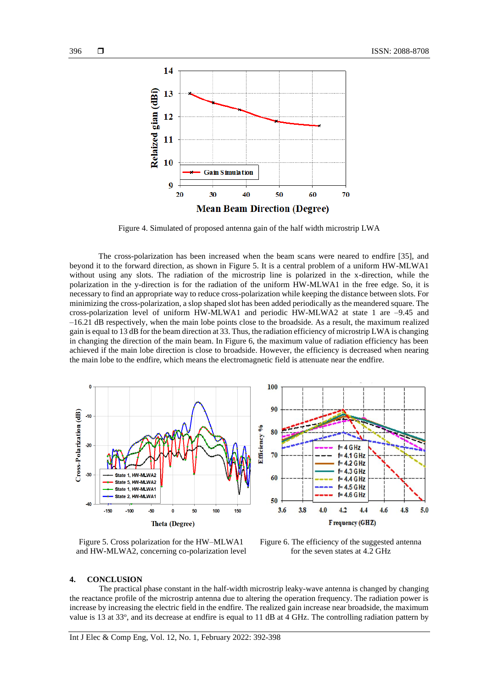

Figure 4. Simulated of proposed antenna gain of the half width microstrip LWA

The cross-polarization has been increased when the beam scans were neared to endfire [35], and beyond it to the forward direction, as shown in Figure 5. It is a central problem of a uniform HW-MLWA1 without using any slots. The radiation of the microstrip line is polarized in the x-direction, while the polarization in the y-direction is for the radiation of the uniform HW-MLWA1 in the free edge. So, it is necessary to find an appropriate way to reduce cross-polarization while keeping the distance between slots. For minimizing the cross-polarization, a slop shaped slot has been added periodically as the meandered square. The cross-polarization level of uniform HW-MLWA1 and periodic HW-MLWA2 at state 1 are –9.45 and –16.21 dB respectively, when the main lobe points close to the broadside. As a result, the maximum realized gain is equal to 13 dB for the beam direction at 33. Thus, the radiation efficiency of microstrip LWA is changing in changing the direction of the main beam. In Figure 6, the maximum value of radiation efficiency has been achieved if the main lobe direction is close to broadside. However, the efficiency is decreased when nearing the main lobe to the endfire, which means the electromagnetic field is attenuate near the endfire.



Figure 5. Cross polarization for the HW–MLWA1 and HW-MLWA2, concerning co-polarization level

Figure 6. The efficiency of the suggested antenna for the seven states at 4.2 GHz

#### **4. CONCLUSION**

The practical phase constant in the half-width microstrip leaky-wave antenna is changed by changing the reactance profile of the microstrip antenna due to altering the operation frequency. The radiation power is increase by increasing the electric field in the endfire. The realized gain increase near broadside, the maximum value is 13 at  $33^\circ$ , and its decrease at endfire is equal to 11 dB at 4 GHz. The controlling radiation pattern by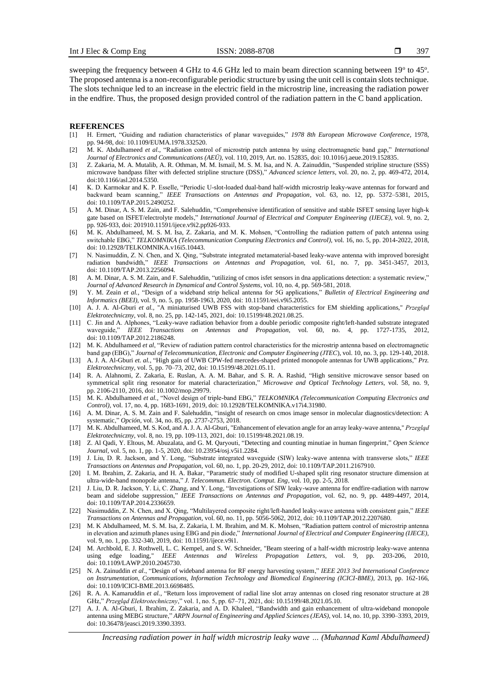sweeping the frequency between 4 GHz to 4.6 GHz led to main beam direction scanning between  $19^{\circ}$  to  $45^{\circ}$ . The proposed antenna is a non-reconfigurable periodic structure by using the unit cell is contain slots technique. The slots technique led to an increase in the electric field in the microstrip line, increasing the radiation power in the endfire. Thus, the proposed design provided control of the radiation pattern in the C band application.

#### **REFERENCES**

- [1] H. Ermert, "Guiding and radiation characteristics of planar waveguides," *1978 8th European Microwave Conference*, 1978, pp. 94-98, doi: 10.1109/EUMA.1978.332520.
- [2] M. K. Abdulhameed *et al.,* "Radiation control of microstrip patch antenna by using electromagnetic band gap," *International Journal of Electronics and Communications (AEÜ),* vol. 110, 2019, Art. no. 152835, doi: 10.1016/j.aeue.2019.152835.
- [3] Z. Zakaria, M. A. Mutalib, A. R. Othman, M. M. Ismail, M. S. M. Isa, and N. A. Zainuddin, ["Suspended stripline structure \(SSS\)](https://scholar.google.com/citations?view_op=view_citation&hl=en&user=SP8_o3EAAAAJ&citation_for_view=SP8_o3EAAAAJ:u-x6o8ySG0sC)  [microwave bandpass filter with defected stripline structure \(DSS\),"](https://scholar.google.com/citations?view_op=view_citation&hl=en&user=SP8_o3EAAAAJ&citation_for_view=SP8_o3EAAAAJ:u-x6o8ySG0sC) *Advanced science letters*, vol. 20, no. 2, pp. 469-472, 2014, doi:10.1166/asl.2014.5350.
- [4] K. D. Karmokar and K. P. Esselle, "Periodic U-slot-loaded dual-band half-width microstrip leaky-wave antennas for forward and backward beam scanning," *IEEE Transactions on Antennas and Propagation*, vol. 63, no. 12, pp. 5372–5381, 2015, doi: 10.1109/TAP.2015.2490252.
- [5] A. M. Dinar, A. S. M. Zain, and F. Salehuddin*,* ["Comprehensive identification of sensitive and stable ISFET sensing layer high-k](https://scholar.google.com/citations?view_op=view_citation&hl=en&user=ecrmsRcAAAAJ&citation_for_view=ecrmsRcAAAAJ:qjMakFHDy7sC)  [gate based on ISFET/electrolyte models,"](https://scholar.google.com/citations?view_op=view_citation&hl=en&user=ecrmsRcAAAAJ&citation_for_view=ecrmsRcAAAAJ:qjMakFHDy7sC) *International Journal of Electrical and Computer Engineering (IJECE)*, vol. 9, no. 2, pp. 926-933, doi: 201910.11591/ijece.v9i2.pp926-933.
- [6] M. K. Abdulhameed, M. S. M. Isa, Z. Zakaria, and M. K. Mohsen, "Controlling the radiation pattern of patch antenna using switchable EBG," *TELKOMNIKA (Telecommunication Computing Electronics and Control),* vol. 16, no. 5, pp. 2014-2022, 2018, doi: 10.12928/TELKOMNIKA.v16i5.10443.
- [7] N. Nasimuddin, Z. N. Chen, and X. Qing, "Substrate integrated metamaterial-based leaky-wave antenna with improved boresight radiation bandwidth," *IEEE Transactions on Antennas and Propagation,* vol. 61, no. 7, pp. 3451-3457, 2013, doi: 10.1109/TAP.2013.2256094.
- [8] A. M. Dinar, A. S. M. Zain, and F. Salehuddin*,* ["utilizing of cmos isfet sensors in dna applications detection: a systematic review,](https://scholar.google.com/citations?view_op=view_citation&hl=en&user=ecrmsRcAAAAJ&citation_for_view=ecrmsRcAAAAJ:2osOgNQ5qMEC)" *Journal of Advanced Research in Dynamical and Control Systems,* vol. 10, no. 4, pp. 569-581, 2018.
- [9] Y. M. Zeain *et al.,* "Design of a wideband strip helical antenna for 5G applications," *Bulletin of Electrical Engineering and Informatics (BEEI),* vol. 9, no. 5, pp. 1958-1963, 2020, doi: 10.11591/eei.v9i5.2055.
- [10] A. J. A. Al-Gburi *et al.,* ["A miniaturised UWB FSS with stop-band characteristics](https://www.researchgate.net/publication/353460875_A_miniaturised_UWB_FSS_with_Stop-band_Characteristics_for_EM_Shielding_Applications?_sg=6ry2-I1MFwEkHWAaZiQ0_8Y5GwZr2wTNFAdzCmoxPZlI7Jv0qYzk_MYro8Mt9uEch4JzaKg6Zn84WqcquSkZEuXCP8xpu2wpT2o7fMWI.avSHMORCIUDqIvTEPCkp-HtA8sSDkBbZQmwo-ACQ6Q_HdbIMHB3XU3pvPKzmhzdUqrhWIywIsK90nrVujbOkUA) for EM shielding applications," *Przegląd Elektrotechniczny*, vol. 8, no. 25, pp. 142-145, 2021, doi[: 10.15199/48.2021.08.25.](http://dx.doi.org/10.15199/48.2021.08.25)
- [11] C. Jin and A. Alphones, "Leaky-wave radiation behavior from a double periodic composite right/left-handed substrate integrated waveguide," *IEEE Transactions on Antennas and Propagation*, vol. 60, no. 4, pp. 1727-1735, 2012, doi: 10.1109/TAP.2012.2186248.
- [12] M. K. Abdulhameed *et al*, "Review of radiation pattern control characteristics for the microstrip antenna based on electromagnetic band gap (EBG)," *Journal of Telecommunication, Electronic and Computer Engineering (JTEC*), vol. 10, no. 3, pp. 129-140, 2018.
- [13] A. J. A. Al-Gburi *et. al.*, "High gain of UWB CPW-fed mercedes-shaped printed monopole antennas for UWB applications," *Prz. Elektrotechniczny,* vol. 5, pp. 70–73, 202, doi: 10.15199/48.2021.05.11.
- [14] R. A. Alahnomi, Z. Zakaria, E. Ruslan, A. A. M. Bahar, and S. R. A. Rashid, ["High sensitive microwave sensor based on](https://scholar.google.com/citations?view_op=view_citation&hl=en&user=_SOdHe4AAAAJ&citation_for_view=_SOdHe4AAAAJ:9Nmd_mFXekcC)  [symmetrical split ring resonator for material characterization,](https://scholar.google.com/citations?view_op=view_citation&hl=en&user=_SOdHe4AAAAJ&citation_for_view=_SOdHe4AAAAJ:9Nmd_mFXekcC)" *Microwave and Optical Technology Letters*, vol. 58, no. 9, pp. 2106-2110, 2016, doi: 10.1002/mop.29979.
- [15] M. K. Abdulhameed *et al.,* "Novel design of triple-band EBG," *TELKOMNIKA (Telecommunication Computing Electronics and Control),* vol. 17, no. 4, pp. 1683-1691, 2019, doi: 10.12928/TELKOMNIKA.v17i4.31980.
- [16] A. M. Dinar, A. S. M. Zain and F. Salehuddin*,* ["insight of research on cmos image sensor in molecular diagnostics/detection: A](https://scholar.google.com/citations?view_op=view_citation&hl=en&user=ecrmsRcAAAAJ&cstart=20&pagesize=80&citation_for_view=ecrmsRcAAAAJ:IjCSPb-OGe4C)  [systematic,](https://scholar.google.com/citations?view_op=view_citation&hl=en&user=ecrmsRcAAAAJ&cstart=20&pagesize=80&citation_for_view=ecrmsRcAAAAJ:IjCSPb-OGe4C)" *Opción*, vol. 34, no. 85, pp. 2737-2753, 2018.
- [17] M. K. Abdulhameed, M. S. Kod, and A. J. A. Al-Gburi*,* "Enhancement of elevation angle for an array leaky-wave antenna," *Przegląd Elektrotechniczny*, vol. 8, no. 19, pp. 109-113, 2021, doi[: 10.15199/48.2021.08.19.](http://dx.doi.org/10.15199/48.2021.08.25)
- [18] Z. Al Qadi, Y. Eltous, M. Abuzalata, and G. M. Qaryouti, ["Detecting and counting minutiae in human fingerprint,](https://core.ac.uk/download/pdf/287210726.pdf)" *Open Science Journal,* vol. 5, no. 1, pp. 1-5, 2020, doi: 10.23954/osj.v5i1.2284.
- [19] J. Liu, D. R. Jackson, and Y. Long, "Substrate integrated waveguide (SIW) leaky-wave antenna with transverse slots," *IEEE Transactions on Antennas and Propagation,* vol. 60, no. 1, pp. 20-29, 2012, doi: 10.1109/TAP.2011.2167910.
- [20] I. M. Ibrahim, Z. Zakaria, and H. A. Bakar, "Parametric study of modified U-shaped split ring resonator structure dimension at ultra-wide-band monopole antenna," *J. Telecommun. Electron. Comput. Eng,* vol. 10, pp. 2-5, 2018.
- [21] J. Liu, D. R. Jackson, Y. Li, C. Zhang, and Y. Long, "Investigations of SIW leaky-wave antenna for endfire-radiation with narrow beam and sidelobe suppression," *IEEE Transactions on Antennas and Propagation*, vol. 62, no. 9, pp. 4489-4497, 2014, doi: 10.1109/TAP.2014.2336659.
- [22] Nasimuddin, Z. N. Chen, and X. Qing, "Multilayered composite right/left-handed leaky-wave antenna with consistent gain," *IEEE Transactions on Antennas and Propagation,* vol. 60, no. 11, pp. 5056-5062, 2012, doi: 10.1109/TAP.2012.2207680.
- [23] M. K Abdulhameed, M. S. M. Isa, Z. Zakaria, I. M. Ibrahim, and M. K. Mohsen, "Radiation pattern control of microstrip antenna in elevation and azimuth planes using EBG and pin diode," *International Journal of Electrical and Computer Engineering (IJECE),* vol. 9, no. 1, pp. 332-340, 2019, doi: 10.11591/ijece.v9i1.
- [24] M. Archbold, E. J. Rothwell, L. C. Kempel, and S. W. Schneider, "Beam steering of a half-width microstrip leaky-wave antenna using edge loading," *IEEE Antennas and Wireless Propagation Letters,* vol. 9, pp. 203-206, 2010, doi: 10.1109/LAWP.2010.2045730.
- [25] N. A. Zainuddin *et al.*, ["Design of wideband antenna for RF energy harvesting system,"](https://ieeexplore.ieee.org/abstract/document/6698485/) *IEEE 2013 3rd International Conference on Instrumentation, Communications, Information Technology and Biomedical Engineering (ICICI-BME)*, 2013, pp. 162-166, doi: 10.1109/ICICI-BME.2013.6698485.
- [26] R. A. A. Kamaruddin *et al.,* "Return loss improvement of radial line slot array antennas on closed ring resonator structure at 28 GHz," *Przegląd Elektrotechniczny*," vol. 1, no. 5, pp. 67–71, 2021, doi: 10.15199/48.2021.05.10.
- [27] A. J. A. Al-Gburi, I. Ibrahim, Z. Zakaria, and A. D. Khaleel, "Bandwidth and gain enhancement of ultra-wideband monopole antenna using MEBG structure," *ARPN Journal of Engineering and Applied Sciences (JEAS)*, vol. 14, no. 10, pp. 3390–3393, 2019, doi: 10.36478/jeasci.2019.3390.3393.